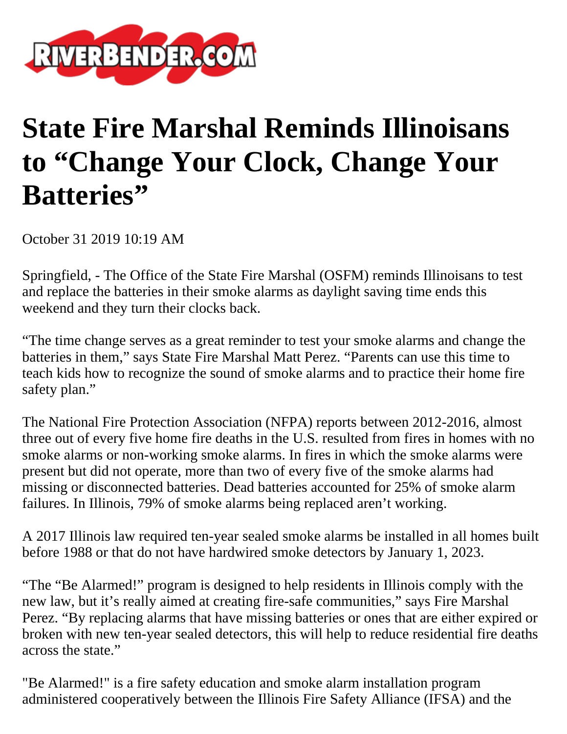

## **State Fire Marshal Reminds Illinoisans to "Change Your Clock, Change Your Batteries"**

October 31 2019 10:19 AM

Springfield, - The Office of the State Fire Marshal (OSFM) reminds Illinoisans to test and replace the batteries in their smoke alarms as daylight saving time ends this weekend and they turn their clocks back.

"The time change serves as a great reminder to test your smoke alarms and change the batteries in them," says State Fire Marshal Matt Perez. "Parents can use this time to teach kids how to recognize the sound of smoke alarms and to practice their home fire safety plan."

The National Fire Protection Association (NFPA) reports between 2012-2016, almost three out of every five home fire deaths in the U.S. resulted from fires in homes with no smoke alarms or non-working smoke alarms. In fires in which the smoke alarms were present but did not operate, more than two of every five of the smoke alarms had missing or disconnected batteries. Dead batteries accounted for 25% of smoke alarm failures. In Illinois, 79% of smoke alarms being replaced aren't working.

A 2017 Illinois law required ten-year sealed smoke alarms be installed in all homes built before 1988 or that do not have hardwired smoke detectors by January 1, 2023.

"The "Be Alarmed!" program is designed to help residents in Illinois comply with the new law, but it's really aimed at creating fire-safe communities," says Fire Marshal Perez. "By replacing alarms that have missing batteries or ones that are either expired or broken with new ten-year sealed detectors, this will help to reduce residential fire deaths across the state."

"Be Alarmed!" is a fire safety education and smoke alarm installation program administered cooperatively between the Illinois Fire Safety Alliance (IFSA) and the